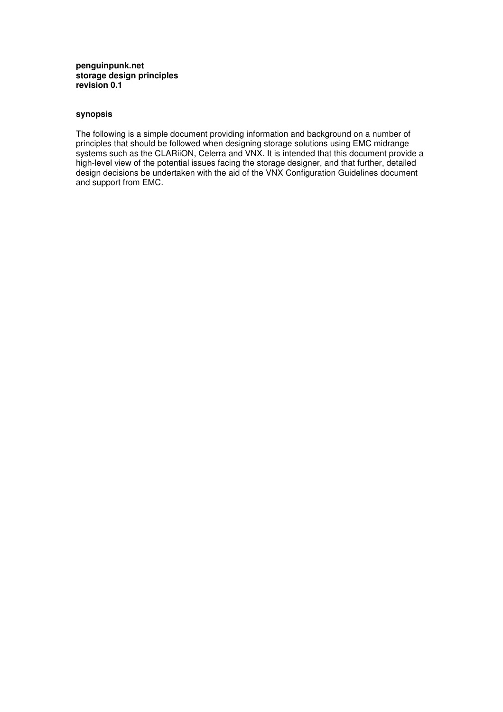#### **penguinpunk.net storage design principles revision 0.1**

# **synopsis**

The following is a simple document providing information and background on a number of principles that should be followed when designing storage solutions using EMC midrange systems such as the CLARiiON, Celerra and VNX. It is intended that this document provide a high-level view of the potential issues facing the storage designer, and that further, detailed design decisions be undertaken with the aid of the VNX Configuration Guidelines document and support from EMC.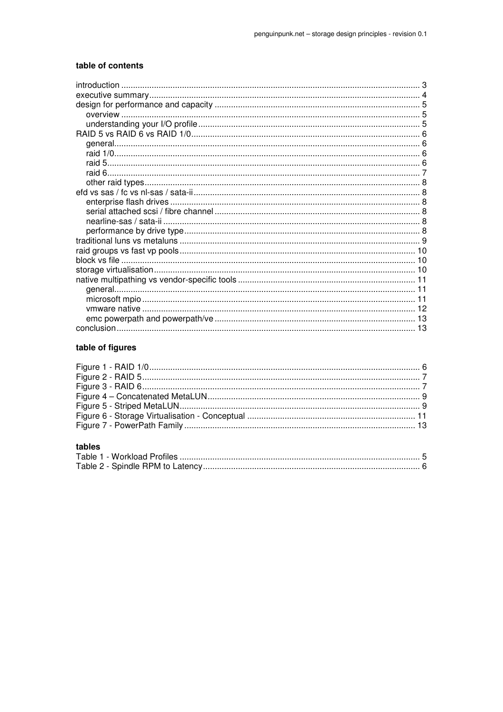## table of contents

## table of figures

# tables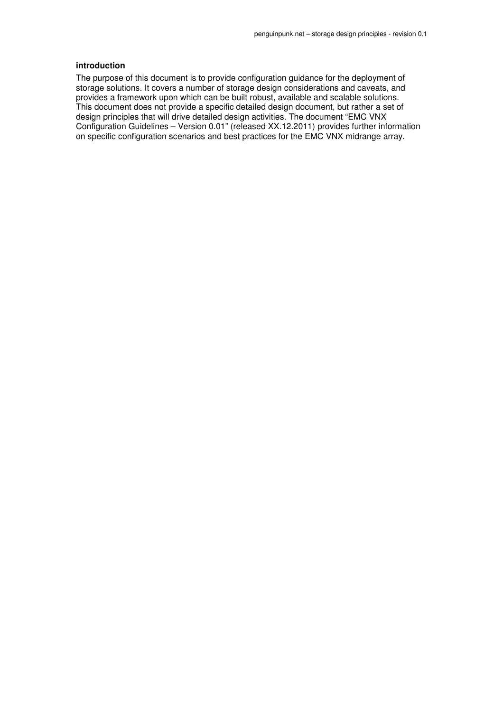## **introduction**

The purpose of this document is to provide configuration guidance for the deployment of storage solutions. It covers a number of storage design considerations and caveats, and provides a framework upon which can be built robust, available and scalable solutions. This document does not provide a specific detailed design document, but rather a set of design principles that will drive detailed design activities. The document "EMC VNX Configuration Guidelines – Version 0.01" (released XX.12.2011) provides further information on specific configuration scenarios and best practices for the EMC VNX midrange array.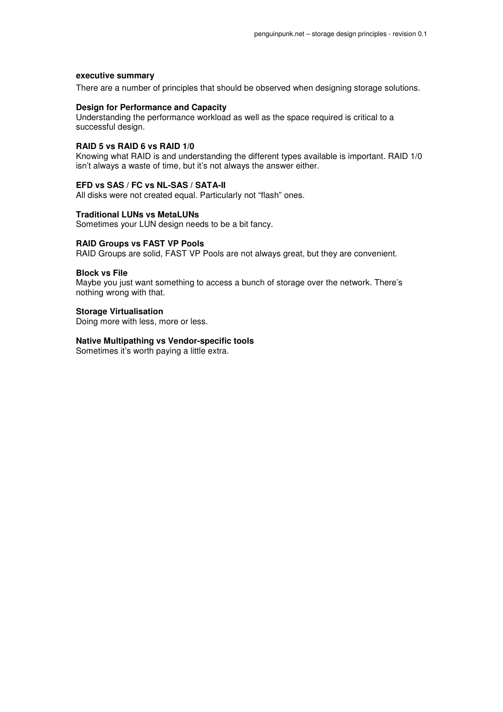#### **executive summary**

There are a number of principles that should be observed when designing storage solutions.

## **Design for Performance and Capacity**

Understanding the performance workload as well as the space required is critical to a successful design.

#### **RAID 5 vs RAID 6 vs RAID 1/0**

Knowing what RAID is and understanding the different types available is important. RAID 1/0 isn't always a waste of time, but it's not always the answer either.

#### **EFD vs SAS / FC vs NL-SAS / SATA-II**

All disks were not created equal. Particularly not "flash" ones.

#### **Traditional LUNs vs MetaLUNs**

Sometimes your LUN design needs to be a bit fancy.

#### **RAID Groups vs FAST VP Pools**

RAID Groups are solid, FAST VP Pools are not always great, but they are convenient.

#### **Block vs File**

Maybe you just want something to access a bunch of storage over the network. There's nothing wrong with that.

## **Storage Virtualisation**

Doing more with less, more or less.

## **Native Multipathing vs Vendor-specific tools**

Sometimes it's worth paying a little extra.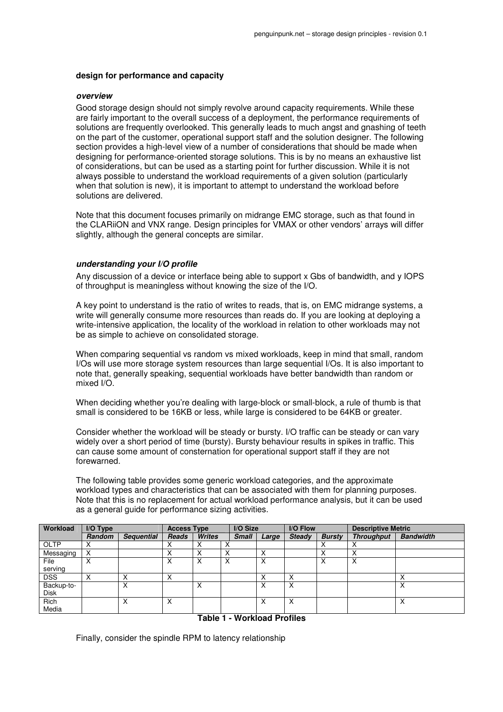#### **design for performance and capacity**

#### **overview**

Good storage design should not simply revolve around capacity requirements. While these are fairly important to the overall success of a deployment, the performance requirements of solutions are frequently overlooked. This generally leads to much angst and gnashing of teeth on the part of the customer, operational support staff and the solution designer. The following section provides a high-level view of a number of considerations that should be made when designing for performance-oriented storage solutions. This is by no means an exhaustive list of considerations, but can be used as a starting point for further discussion. While it is not always possible to understand the workload requirements of a given solution (particularly when that solution is new), it is important to attempt to understand the workload before solutions are delivered.

Note that this document focuses primarily on midrange EMC storage, such as that found in the CLARiiON and VNX range. Design principles for VMAX or other vendors' arrays will differ slightly, although the general concepts are similar.

## **understanding your I/O profile**

Any discussion of a device or interface being able to support x Gbs of bandwidth, and y IOPS of throughput is meaningless without knowing the size of the I/O.

A key point to understand is the ratio of writes to reads, that is, on EMC midrange systems, a write will generally consume more resources than reads do. If you are looking at deploying a write-intensive application, the locality of the workload in relation to other workloads may not be as simple to achieve on consolidated storage.

When comparing sequential vs random vs mixed workloads, keep in mind that small, random I/Os will use more storage system resources than large sequential I/Os. It is also important to note that, generally speaking, sequential workloads have better bandwidth than random or mixed I/O.

When deciding whether you're dealing with large-block or small-block, a rule of thumb is that small is considered to be 16KB or less, while large is considered to be 64KB or greater.

Consider whether the workload will be steady or bursty. I/O traffic can be steady or can vary widely over a short period of time (bursty). Bursty behaviour results in spikes in traffic. This can cause some amount of consternation for operational support staff if they are not forewarned.

The following table provides some generic workload categories, and the approximate workload types and characteristics that can be associated with them for planning purposes. Note that this is no replacement for actual workload performance analysis, but it can be used as a general guide for performance sizing activities.

| Workload    | I/O Type          |                   | <b>Access Type</b> |               |              | I/O Size     |               | I/O Flow      | <b>Descriptive Metric</b> |                  |  |
|-------------|-------------------|-------------------|--------------------|---------------|--------------|--------------|---------------|---------------|---------------------------|------------------|--|
|             | <b>Random</b>     | <b>Sequential</b> | <b>Reads</b>       | <b>Writes</b> | <b>Small</b> | Large        | <b>Steady</b> | <b>Bursty</b> | <b>Throughput</b>         | <b>Bandwidth</b> |  |
| <b>OLTP</b> |                   |                   |                    |               |              |              |               |               |                           |                  |  |
| Messaging   |                   |                   |                    |               |              | v            |               | ⋏             | $\checkmark$              |                  |  |
| File        | $\checkmark$<br>ᄉ |                   | ᄉ                  | х             | Χ            | $\mathsf{X}$ |               | X             | X                         |                  |  |
| serving     |                   |                   |                    |               |              |              |               |               |                           |                  |  |
| <b>DSS</b>  |                   |                   |                    |               |              |              | x             |               |                           | $\checkmark$     |  |
| Backup-to-  |                   |                   |                    | х             |              |              | X             |               |                           | X                |  |
| <b>Disk</b> |                   |                   |                    |               |              |              |               |               |                           |                  |  |
| Rich        |                   | х                 | Χ                  |               |              | X            | X             |               |                           | X                |  |
| Media       |                   |                   |                    |               |              |              |               |               |                           |                  |  |

**Table 1 - Workload Profiles** 

Finally, consider the spindle RPM to latency relationship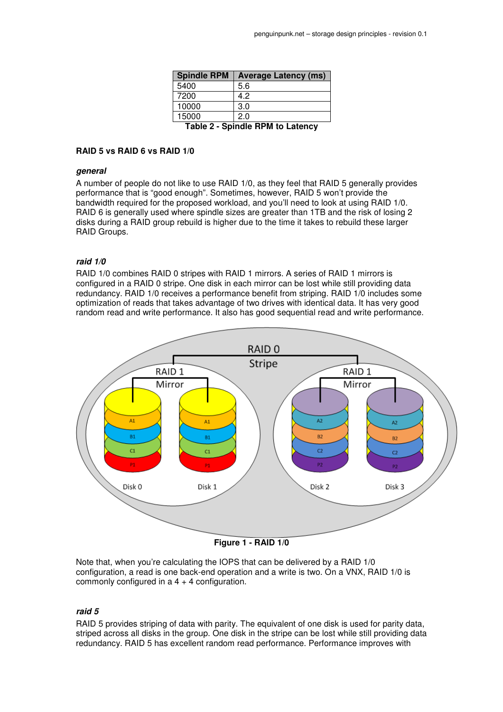| <b>Spindle RPM</b>                      | <b>Average Latency (ms)</b> |  |  |  |  |  |  |
|-----------------------------------------|-----------------------------|--|--|--|--|--|--|
| 5400                                    | 5.6                         |  |  |  |  |  |  |
| 7200                                    | 4.2                         |  |  |  |  |  |  |
| 10000                                   | 3.0                         |  |  |  |  |  |  |
| 15000                                   | 2.0                         |  |  |  |  |  |  |
| <b>Table 2 - Spindle RPM to Latency</b> |                             |  |  |  |  |  |  |

## **RAID 5 vs RAID 6 vs RAID 1/0**

#### **general**

A number of people do not like to use RAID 1/0, as they feel that RAID 5 generally provides performance that is "good enough". Sometimes, however, RAID 5 won't provide the bandwidth required for the proposed workload, and you'll need to look at using RAID 1/0. RAID 6 is generally used where spindle sizes are greater than 1TB and the risk of losing 2 disks during a RAID group rebuild is higher due to the time it takes to rebuild these larger RAID Groups.

#### **raid 1/0**

RAID 1/0 combines RAID 0 stripes with RAID 1 mirrors. A series of RAID 1 mirrors is configured in a RAID 0 stripe. One disk in each mirror can be lost while still providing data redundancy. RAID 1/0 receives a performance benefit from striping. RAID 1/0 includes some optimization of reads that takes advantage of two drives with identical data. It has very good random read and write performance. It also has good sequential read and write performance.



**Figure 1 - RAID 1/0** 

Note that, when you're calculating the IOPS that can be delivered by a RAID 1/0 configuration, a read is one back-end operation and a write is two. On a VNX, RAID 1/0 is commonly configured in  $a_4 + 4$  configuration.

#### **raid 5**

RAID 5 provides striping of data with parity. The equivalent of one disk is used for parity data, striped across all disks in the group. One disk in the stripe can be lost while still providing data redundancy. RAID 5 has excellent random read performance. Performance improves with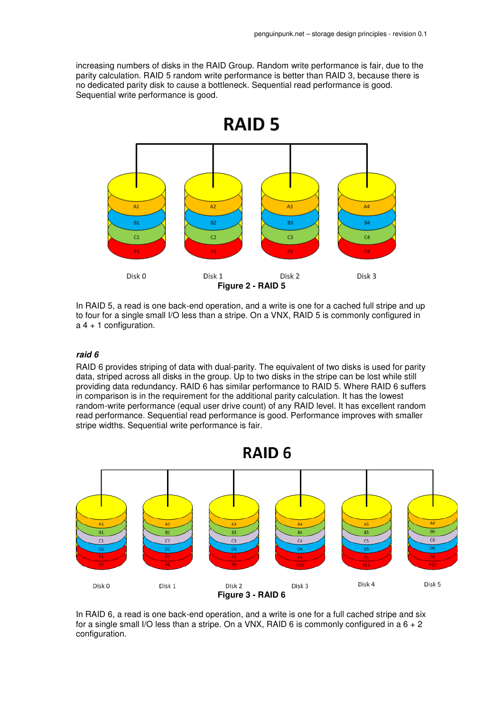increasing numbers of disks in the RAID Group. Random write performance is fair, due to the parity calculation. RAID 5 random write performance is better than RAID 3, because there is no dedicated parity disk to cause a bottleneck. Sequential read performance is good. Sequential write performance is good.



In RAID 5, a read is one back-end operation, and a write is one for a cached full stripe and up to four for a single small I/O less than a stripe. On a VNX, RAID 5 is commonly configured in  $a$  4 + 1 configuration.

## **raid 6**

RAID 6 provides striping of data with dual-parity. The equivalent of two disks is used for parity data, striped across all disks in the group. Up to two disks in the stripe can be lost while still providing data redundancy. RAID 6 has similar performance to RAID 5. Where RAID 6 suffers in comparison is in the requirement for the additional parity calculation. It has the lowest random-write performance (equal user drive count) of any RAID level. It has excellent random read performance. Sequential read performance is good. Performance improves with smaller stripe widths. Sequential write performance is fair.



In RAID 6, a read is one back-end operation, and a write is one for a full cached stripe and six for a single small I/O less than a stripe. On a VNX, RAID 6 is commonly configured in a  $6 + 2$ configuration.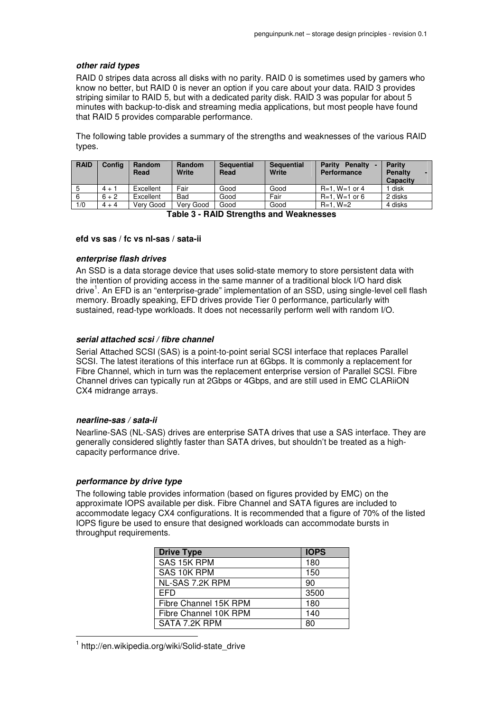## **other raid types**

RAID 0 stripes data across all disks with no parity. RAID 0 is sometimes used by gamers who know no better, but RAID 0 is never an option if you care about your data. RAID 3 provides striping similar to RAID 5, but with a dedicated parity disk. RAID 3 was popular for about 5 minutes with backup-to-disk and streaming media applications, but most people have found that RAID 5 provides comparable performance.

The following table provides a summary of the strengths and weaknesses of the various RAID types.

| <b>RAID</b> | Confia  | Random<br>Read | <b>Random</b><br>Write | <b>Sequential</b><br>Read | <b>Sequential</b><br>Write | <b>Parity</b><br>Penalty<br><b>Performance</b> | <b>Parity</b><br><b>Penalty</b><br><b>Capacity</b> |
|-------------|---------|----------------|------------------------|---------------------------|----------------------------|------------------------------------------------|----------------------------------------------------|
|             | $4 + 1$ | Excellent      | Fair                   | Good                      | Good                       | $R=1. W=1$ or 4                                | disk                                               |
|             | $6 + 2$ | Excellent      | Bad                    | Good                      | Fair                       | $R=1$ . W=1 or 6                               | 2 disks                                            |
| 1/0         | $4 + 4$ | Verv Good      | Verv Good              | Good                      | Good                       | $R=1. W=2$                                     | 4 disks                                            |

**Table 3 - RAID Strengths and Weaknesses** 

## **efd vs sas / fc vs nl-sas / sata-ii**

## **enterprise flash drives**

An SSD is a data storage device that uses solid-state memory to store persistent data with the intention of providing access in the same manner of a traditional block I/O hard disk drive<sup>1</sup>. An EFD is an "enterprise-grade" implementation of an SSD, using single-level cell flash memory. Broadly speaking, EFD drives provide Tier 0 performance, particularly with sustained, read-type workloads. It does not necessarily perform well with random I/O.

## **serial attached scsi / fibre channel**

Serial Attached SCSI (SAS) is a point-to-point serial SCSI interface that replaces Parallel SCSI. The latest iterations of this interface run at 6Gbps. It is commonly a replacement for Fibre Channel, which in turn was the replacement enterprise version of Parallel SCSI. Fibre Channel drives can typically run at 2Gbps or 4Gbps, and are still used in EMC CLARiiON CX4 midrange arrays.

## **nearline-sas / sata-ii**

Nearline-SAS (NL-SAS) drives are enterprise SATA drives that use a SAS interface. They are generally considered slightly faster than SATA drives, but shouldn't be treated as a highcapacity performance drive.

## **performance by drive type**

 $\overline{a}$ 

The following table provides information (based on figures provided by EMC) on the approximate IOPS available per disk. Fibre Channel and SATA figures are included to accommodate legacy CX4 configurations. It is recommended that a figure of 70% of the listed IOPS figure be used to ensure that designed workloads can accommodate bursts in throughput requirements.

| <b>Drive Type</b>     | <b>IOPS</b> |
|-----------------------|-------------|
| SAS 15K RPM           | 180         |
| SAS 10K RPM           | 150         |
| NL-SAS 7.2K RPM       | 90          |
| <b>EFD</b>            | 3500        |
| Fibre Channel 15K RPM | 180         |
| Fibre Channel 10K RPM | 140         |
| SATA 7.2K RPM         | 80          |

1 http://en.wikipedia.org/wiki/Solid-state\_drive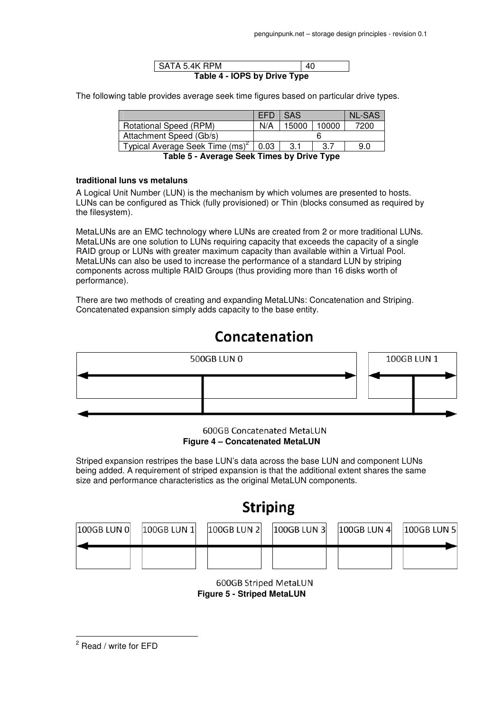| SATA 5.4K RPM                | 40 |  |  |  |  |  |  |
|------------------------------|----|--|--|--|--|--|--|
| Table 4 - IOPS by Drive Type |    |  |  |  |  |  |  |

The following table provides average seek time figures based on particular drive types.

|                                             | EFD. | $\overline{\phantom{a}}$ SAS |       | <b>NL-SAS</b> |  |  |
|---------------------------------------------|------|------------------------------|-------|---------------|--|--|
| <b>Rotational Speed (RPM)</b>               | N/A  | 15000                        | 10000 | 7200          |  |  |
| Attachment Speed (Gb/s)                     |      |                              |       |               |  |  |
| Typical Average Seek Time (ms) <sup>2</sup> | 0.03 | 3.1                          | 3.7   | 9.0           |  |  |

**Table 5 - Average Seek Times by Drive Type** 

## **traditional luns vs metaluns**

A Logical Unit Number (LUN) is the mechanism by which volumes are presented to hosts. LUNs can be configured as Thick (fully provisioned) or Thin (blocks consumed as required by the filesystem).

MetaLUNs are an EMC technology where LUNs are created from 2 or more traditional LUNs. MetaLUNs are one solution to LUNs requiring capacity that exceeds the capacity of a single RAID group or LUNs with greater maximum capacity than available within a Virtual Pool. MetaLUNs can also be used to increase the performance of a standard LUN by striping components across multiple RAID Groups (thus providing more than 16 disks worth of performance).

There are two methods of creating and expanding MetaLUNs: Concatenation and Striping. Concatenated expansion simply adds capacity to the base entity.

# Concatenation



600GB Concatenated MetaLUN **Figure 4 – Concatenated MetaLUN** 

Striped expansion restripes the base LUN's data across the base LUN and component LUNs being added. A requirement of striped expansion is that the additional extent shares the same size and performance characteristics as the original MetaLUN components.

# **Striping**

| 100GB LUN 0 | $100GB$ LUN $1$ | 100GB LUN 2 | $100GB$ LUN 3 | $100GB$ LUN 4 | $ 100GB$ LUN 5 $ $ |
|-------------|-----------------|-------------|---------------|---------------|--------------------|
|             |                 |             |               |               |                    |

600GB Striped MetaLUN **Figure 5 - Striped MetaLUN** 

<sup>2</sup> Read / write for EFD

 $\overline{a}$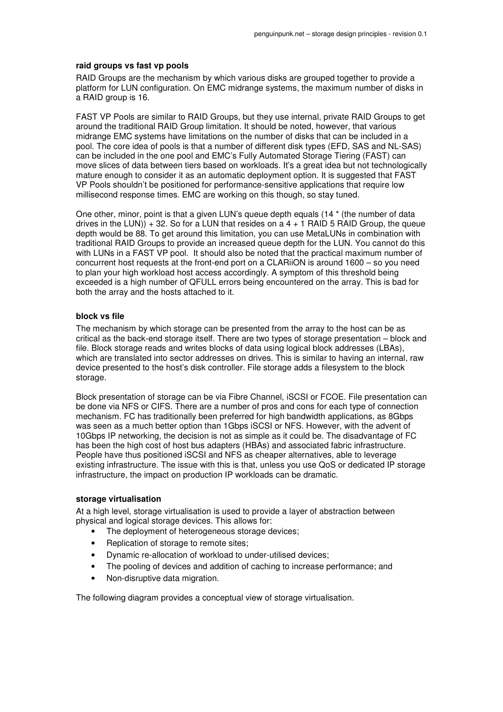#### **raid groups vs fast vp pools**

RAID Groups are the mechanism by which various disks are grouped together to provide a platform for LUN configuration. On EMC midrange systems, the maximum number of disks in a RAID group is 16.

FAST VP Pools are similar to RAID Groups, but they use internal, private RAID Groups to get around the traditional RAID Group limitation. It should be noted, however, that various midrange EMC systems have limitations on the number of disks that can be included in a pool. The core idea of pools is that a number of different disk types (EFD, SAS and NL-SAS) can be included in the one pool and EMC's Fully Automated Storage Tiering (FAST) can move slices of data between tiers based on workloads. It's a great idea but not technologically mature enough to consider it as an automatic deployment option. It is suggested that FAST VP Pools shouldn't be positioned for performance-sensitive applications that require low millisecond response times. EMC are working on this though, so stay tuned.

One other, minor, point is that a given LUN's queue depth equals (14 \* (the number of data drives in the LUN))  $+$  32. So for a LUN that resides on a 4  $+$  1 RAID 5 RAID Group, the queue depth would be 88. To get around this limitation, you can use MetaLUNs in combination with traditional RAID Groups to provide an increased queue depth for the LUN. You cannot do this with LUNs in a FAST VP pool. It should also be noted that the practical maximum number of concurrent host requests at the front-end port on a CLARiiON is around 1600 – so you need to plan your high workload host access accordingly. A symptom of this threshold being exceeded is a high number of QFULL errors being encountered on the array. This is bad for both the array and the hosts attached to it.

#### **block vs file**

The mechanism by which storage can be presented from the array to the host can be as critical as the back-end storage itself. There are two types of storage presentation – block and file. Block storage reads and writes blocks of data using logical block addresses (LBAs), which are translated into sector addresses on drives. This is similar to having an internal, raw device presented to the host's disk controller. File storage adds a filesystem to the block storage.

Block presentation of storage can be via Fibre Channel, iSCSI or FCOE. File presentation can be done via NFS or CIFS. There are a number of pros and cons for each type of connection mechanism. FC has traditionally been preferred for high bandwidth applications, as 8Gbps was seen as a much better option than 1Gbps iSCSI or NFS. However, with the advent of 10Gbps IP networking, the decision is not as simple as it could be. The disadvantage of FC has been the high cost of host bus adapters (HBAs) and associated fabric infrastructure. People have thus positioned iSCSI and NFS as cheaper alternatives, able to leverage existing infrastructure. The issue with this is that, unless you use QoS or dedicated IP storage infrastructure, the impact on production IP workloads can be dramatic.

#### **storage virtualisation**

At a high level, storage virtualisation is used to provide a layer of abstraction between physical and logical storage devices. This allows for:

- The deployment of heterogeneous storage devices;
- Replication of storage to remote sites:
- Dynamic re-allocation of workload to under-utilised devices;
- The pooling of devices and addition of caching to increase performance; and
- Non-disruptive data migration.

The following diagram provides a conceptual view of storage virtualisation.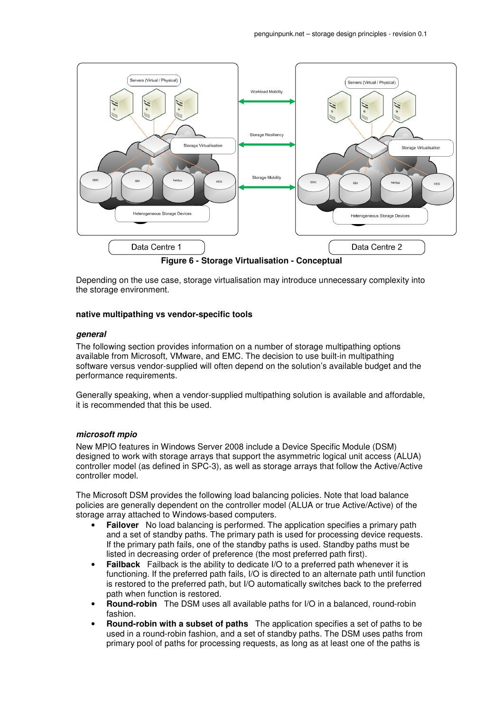

Depending on the use case, storage virtualisation may introduce unnecessary complexity into the storage environment.

#### **native multipathing vs vendor-specific tools**

#### **general**

The following section provides information on a number of storage multipathing options available from Microsoft, VMware, and EMC. The decision to use built-in multipathing software versus vendor-supplied will often depend on the solution's available budget and the performance requirements.

Generally speaking, when a vendor-supplied multipathing solution is available and affordable, it is recommended that this be used.

## **microsoft mpio**

New MPIO features in Windows Server 2008 include a Device Specific Module (DSM) designed to work with storage arrays that support the asymmetric logical unit access (ALUA) controller model (as defined in SPC-3), as well as storage arrays that follow the Active/Active controller model.

The Microsoft DSM provides the following load balancing policies. Note that load balance policies are generally dependent on the controller model (ALUA or true Active/Active) of the storage array attached to Windows-based computers.

- **Failover** No load balancing is performed. The application specifies a primary path and a set of standby paths. The primary path is used for processing device requests. If the primary path fails, one of the standby paths is used. Standby paths must be listed in decreasing order of preference (the most preferred path first).
- **Failback** Failback is the ability to dedicate I/O to a preferred path whenever it is functioning. If the preferred path fails, I/O is directed to an alternate path until function is restored to the preferred path, but I/O automatically switches back to the preferred path when function is restored.
- **Round-robin** The DSM uses all available paths for I/O in a balanced, round-robin fashion.
- **Round-robin with a subset of paths** The application specifies a set of paths to be used in a round-robin fashion, and a set of standby paths. The DSM uses paths from primary pool of paths for processing requests, as long as at least one of the paths is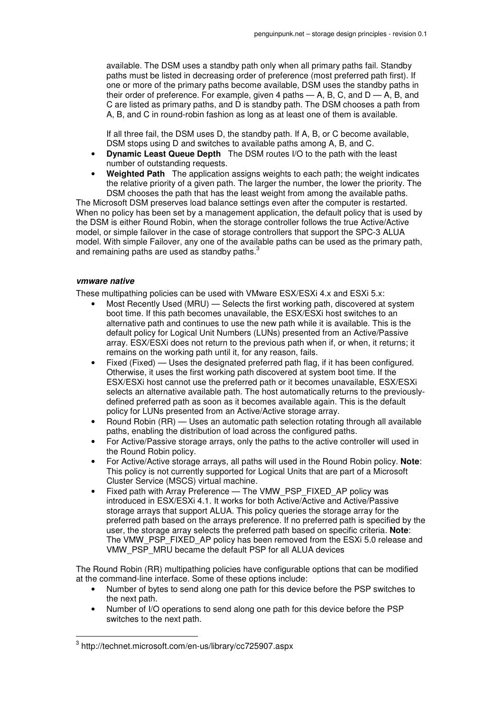available. The DSM uses a standby path only when all primary paths fail. Standby paths must be listed in decreasing order of preference (most preferred path first). If one or more of the primary paths become available, DSM uses the standby paths in their order of preference. For example, given 4 paths  $-$  A, B, C, and D  $-$  A, B, and C are listed as primary paths, and D is standby path. The DSM chooses a path from A, B, and C in round-robin fashion as long as at least one of them is available.

If all three fail, the DSM uses D, the standby path. If A, B, or C become available, DSM stops using D and switches to available paths among A, B, and C.

- **Dynamic Least Queue Depth** The DSM routes I/O to the path with the least number of outstanding requests.
- **Weighted Path** The application assigns weights to each path; the weight indicates the relative priority of a given path. The larger the number, the lower the priority. The DSM chooses the path that has the least weight from among the available paths.

The Microsoft DSM preserves load balance settings even after the computer is restarted. When no policy has been set by a management application, the default policy that is used by the DSM is either Round Robin, when the storage controller follows the true Active/Active model, or simple failover in the case of storage controllers that support the SPC-3 ALUA model. With simple Failover, any one of the available paths can be used as the primary path, and remaining paths are used as standby paths.<sup>3</sup>

## **vmware native**

 $\overline{a}$ 

These multipathing policies can be used with VMware ESX/ESXi 4.x and ESXi 5.x:

- Most Recently Used (MRU) Selects the first working path, discovered at system boot time. If this path becomes unavailable, the ESX/ESXi host switches to an alternative path and continues to use the new path while it is available. This is the default policy for Logical Unit Numbers (LUNs) presented from an Active/Passive array. ESX/ESXi does not return to the previous path when if, or when, it returns; it remains on the working path until it, for any reason, fails.
- Fixed (Fixed) Uses the designated preferred path flag, if it has been configured. Otherwise, it uses the first working path discovered at system boot time. If the ESX/ESXi host cannot use the preferred path or it becomes unavailable, ESX/ESXi selects an alternative available path. The host automatically returns to the previouslydefined preferred path as soon as it becomes available again. This is the default policy for LUNs presented from an Active/Active storage array.
- Round Robin (RR) Uses an automatic path selection rotating through all available paths, enabling the distribution of load across the configured paths.
- For Active/Passive storage arrays, only the paths to the active controller will used in the Round Robin policy.
- For Active/Active storage arrays, all paths will used in the Round Robin policy. **Note**: This policy is not currently supported for Logical Units that are part of a Microsoft Cluster Service (MSCS) virtual machine.
- Fixed path with Array Preference The VMW\_PSP\_FIXED\_AP policy was introduced in ESX/ESXi 4.1. It works for both Active/Active and Active/Passive storage arrays that support ALUA. This policy queries the storage array for the preferred path based on the arrays preference. If no preferred path is specified by the user, the storage array selects the preferred path based on specific criteria. **Note**: The VMW\_PSP\_FIXED\_AP policy has been removed from the ESXi 5.0 release and VMW\_PSP\_MRU became the default PSP for all ALUA devices

The Round Robin (RR) multipathing policies have configurable options that can be modified at the command-line interface. Some of these options include:

- Number of bytes to send along one path for this device before the PSP switches to the next path.
- Number of I/O operations to send along one path for this device before the PSP switches to the next path.

<sup>3</sup> http://technet.microsoft.com/en-us/library/cc725907.aspx